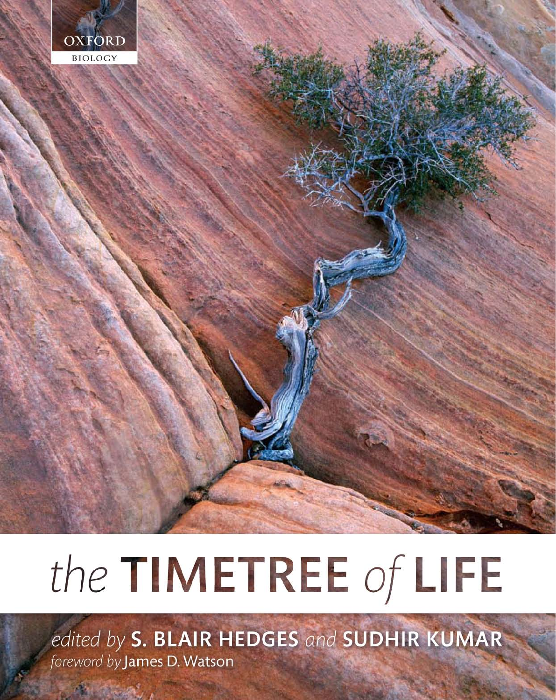

# the TIMETREE of LIFE

edited by S. BLAIR HEDGES and SUDHIR KUMAR foreword by James D. Watson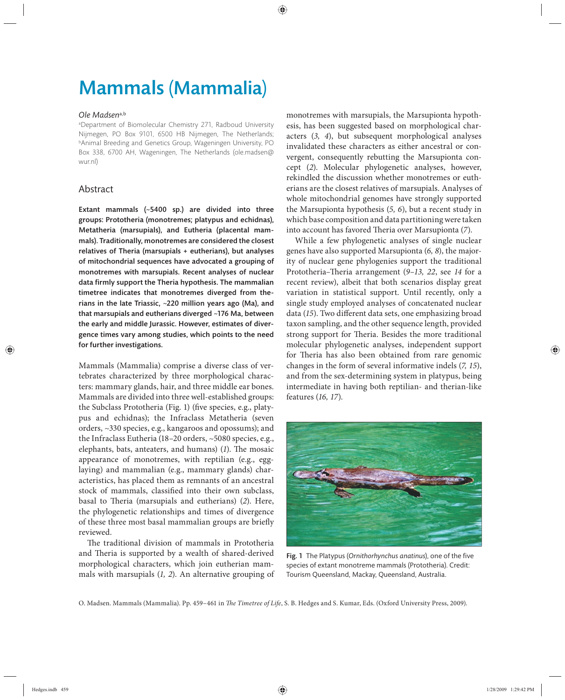## Mammals (Mammalia)

#### *Ole Madsen*a,b

a Department of Biomolecular Chemistry 271, Radboud University Nijmegen, PO Box 9101, 6500 HB Nijmegen, The Netherlands; bAnimal Breeding and Genetics Group, Wageningen University, PO Box 338 , 6700 AH, Wageningen, The Netherlands (ole.madsen@ wur.nl)

### Abstract

Extant mammals  $(\sim 5400 \text{ sp.})$  are divided into three groups: Prototheria (monotremes; platypus and echidnas), Metatheria (marsupials), and Eutheria (placental mammals). Traditionally, monotremes are considered the closest relatives of Theria (marsupials + eutherians), but analyses of mitochondrial sequences have advocated a grouping of monotremes with marsupials. Recent analyses of nuclear data firmly support the Theria hypothesis. The mammalian timetree indicates that monotremes diverged from therians in the late Triassic,  $\sim$ 220 million years ago (Ma), and that marsupials and eutherians diverged ~176 Ma, between the early and middle Jurassic. However, estimates of divergence times vary among studies, which points to the need for further investigations.

Mammals (Mammalia) comprise a diverse class of vertebrates characterized by three morphological characters: mammary glands, hair, and three middle ear bones. Mammals are divided into three well-established groups: the Subclass Prototheria (Fig. 1) (five species, e.g., platypus and echidnas); the Infraclass Metatheria (seven orders, ~330 species, e.g., kangaroos and opossums); and the Infraclass Eutheria (18–20 orders, ~5080 species, e.g., elephants, bats, anteaters, and humans) (1). The mosaic appearance of monotremes, with reptilian (e.g., egglaying) and mammalian (e.g., mammary glands) characteristics, has placed them as remnants of an ancestral stock of mammals, classified into their own subclass, basal to Theria (marsupials and eutherians) (2). Here, the phylogenetic relationships and times of divergence of these three most basal mammalian groups are briefly reviewed.

The traditional division of mammals in Prototheria and Theria is supported by a wealth of shared-derived morphological characters, which join eutherian mammals with marsupials (*1, 2*). An alternative grouping of monotremes with marsupials, the Marsupionta hypothesis, has been suggested based on morphological characters (*3, 4*), but subsequent morphological analyses invalidated these characters as either ancestral or convergent, consequently rebutting the Marsupionta concept (2). Molecular phylogenetic analyses, however, rekindled the discussion whether monotremes or eutherians are the closest relatives of marsupials. Analyses of whole mitochondrial genomes have strongly supported the Marsupionta hypothesis (*5, 6*), but a recent study in which base composition and data partitioning were taken into account has favored Theria over Marsupionta (7).

While a few phylogenetic analyses of single nuclear genes have also supported Marsupionta (*6, 8*), the majority of nuclear gene phylogenies support the traditional Prototheria–Theria arrangement (9–13, 22, see 14 for a recent review), albeit that both scenarios display great variation in statistical support. Until recently, only a single study employed analyses of concatenated nuclear data (15). Two different data sets, one emphasizing broad taxon sampling, and the other sequence length, provided strong support for Theria. Besides the more traditional molecular phylogenetic analyses, independent support for Theria has also been obtained from rare genomic changes in the form of several informative indels (*7, 15*), and from the sex-determining system in platypus, being intermediate in having both reptilian- and therian-like features (*16, 17*).



Fig. 1 The Platypus (Ornithorhynchus anatinus), one of the five species of extant monotreme mammals (Prototheria). Credit: Tourism Queensland, Mackay, Queensland, Australia.

O. Madsen. Mammals (Mammalia). Pp. 459-461 in *The Timetree of Life*, S. B. Hedges and S. Kumar, Eds. (Oxford University Press, 2009).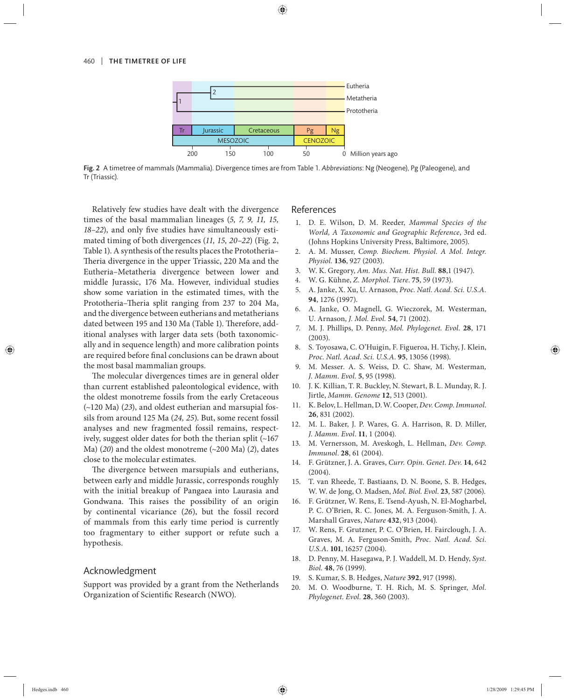

Fig. 2 A timetree of mammals (Mammalia). Divergence times are from Table 1. *Abbreviations*: Ng (Neogene), Pg (Paleogene), and Tr (Triassic).

Relatively few studies have dealt with the divergence times of the basal mammalian lineages (*5, 7, 9, 11, 15,*  18-22), and only five studies have simultaneously estimated timing of both divergences (*11, 15, 20–22*) (Fig. 2, Table 1). A synthesis of the results places the Prototheria– Theria divergence in the upper Triassic, 220 Ma and the Eutheria–Metatheria divergence between lower and middle Jurassic, 176 Ma. However, individual studies show some variation in the estimated times, with the Prototheria–Theria split ranging from 237 to 204 Ma, and the divergence between eutherians and metatherians dated between 195 and 130 Ma (Table 1). Therefore, additional analyses with larger data sets (both taxonomically and in sequence length) and more calibration points are required before final conclusions can be drawn about the most basal mammalian groups.

The molecular divergences times are in general older than current established paleontological evidence, with the oldest monotreme fossils from the early Cretaceous (~120 Ma) (*23*), and oldest eutherian and marsupial fossils from around 125 Ma (*24, 25*). But, some recent fossil analyses and new fragmented fossil remains, respectively, suggest older dates for both the therian split (~167 Ma) (*20*) and the oldest monotreme (~200 Ma) (*2*), dates close to the molecular estimates.

The divergence between marsupials and eutherians, between early and middle Jurassic, corresponds roughly with the initial breakup of Pangaea into Laurasia and Gondwana. This raises the possibility of an origin by continental vicariance (*26*), but the fossil record of mammals from this early time period is currently too fragmentary to either support or refute such a hypothesis.

#### Acknowledgment

Support was provided by a grant from the Netherlands Organization of Scientific Research (NWO).

#### References

- 1. D. E. Wilson, D. M. Reeder, *Mammal Species of the World, A Taxonomic and Geographic Reference*, 3rd ed. (Johns Hopkins University Press, Baltimore, 2005).
- 2. A. M. Musser, *Comp. Biochem. Physiol. A Mol. Integr. Physiol.* **136**, 927 (2003).
- 3. W. K. Gregory, *Am. Mus. Nat. Hist. Bull.* **88**,1 (1947).
- 4. W. G. Kühne, *Z. Morphol. Tiere*. **75**, 59 (1973).
- 5. A. Janke, X. Xu, U. Arnason, *Proc. Natl. Acad. Sci. U.S.A.* **94**, 1276 (1997).
- 6. A. Janke, O. Magnell, G. Wieczorek, M. Westerman, U. Arnason, *J. Mol. Evol.* **54**, 71 (2002).
- 7. M. J. Phillips, D. Penny, *Mol. Phylogenet. Evol.* **28**, 171 (2003).
- 8. S. Toyosawa, C. O'Huigin, F. Figueroa, H. Tichy, J. Klein, *Proc. Natl. Acad. Sci. U.S.A.* **95**, 13056 (1998).
- 9. M. Messer. A. S. Weiss, D. C. Shaw, M. Westerman*, J. Mamm. Evol.* **5**, 95 (1998).
- 10. J. K. Killian, T. R. Buckley, N. Stewart, B. L. Munday, R. J. Jirtle, *Mamm. Genome* **12**, 513 (2001).
- 11. K. Belov, L. Hellman, D. W. Cooper, *Dev. Comp. Immunol*. **26**, 831 (2002).
- 12. M. L. Baker, J. P. Wares, G. A. Harrison, R. D. Miller, *J. Mamm. Evol*. **11**, 1 (2004).
- 13. M. Vernersson, M. Aveskogh, L. Hellman, *Dev. Comp. Immunol*. **28**, 61 (2004).
- 14. F. Grützner, J. A. Graves, *Curr. Opin. Genet. Dev*. **14**, 642 (2004).
- 15. T. van Rheede, T. Bastiaans, D. N. Boone, S. B. Hedges, W. W. de Jong, O. Madsen, *Mol. Biol. Evol*. **23**, 587 (2006).
- 16. F. Grützner, W. Rens, E. Tsend-Ayush, N. El-Mogharbel, P. C. O'Brien, R. C. Jones, M. A. Ferguson-Smith, J. A. Marshall Graves, *Nature* **432**, 913 (2004).
- 17. W. Rens, F. Grutzner, P. C. O'Brien, H. Fairclough, J. A. Graves, M. A. Ferguson-Smith, *Proc. Natl. Acad. Sci. U.S.A*. **101**, 16257 (2004).
- 18. D. Penny, M. Hasegawa, P. J. Waddell, M. D. Hendy, *Syst. Biol.* **48**, 76 (1999).
- 19. S. Kumar, S. B. Hedges, *Nature* **392**, 917 (1998).
- 20. M. O. Woodburne, T. H. Rich, M. S. Springer, *Mol. Phylogenet. Evol.* **28**, 360 (2003).